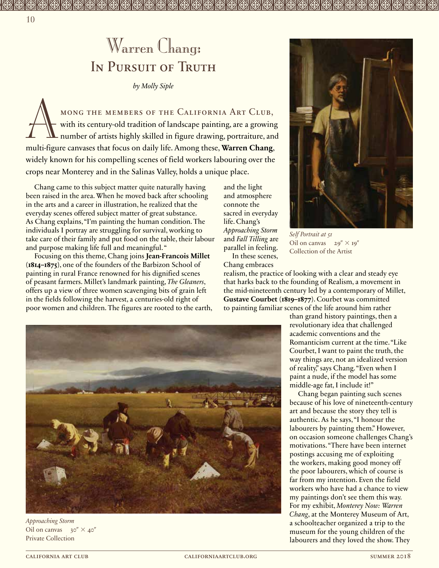## Warren Chang: IN PURSUIT OF TRUTH

*by Molly Siple*

A mong the members of the California Art Club, with its century-old tradition of landscape painting, are a growing number of artists highly skilled in figure drawing, portraiture, and multi-figure canvases that focus on daily life. Among these, **Warren Chang**, widely known for his compelling scenes of field workers labouring over the crops near Monterey and in the Salinas Valley, holds a unique place.

Chang came to this subject matter quite naturally having been raised in the area. When he moved back after schooling in the arts and a career in illustration, he realized that the everyday scenes offered subject matter of great substance. As Chang explains, "I'm painting the human condition. The individuals I portray are struggling for survival, working to take care of their family and put food on the table, their labour and purpose making life full and meaningful. "

Focusing on this theme, Chang joins **Jean-Francois Millet (1814–1875)**, one of the founders of the Barbizon School of painting in rural France renowned for his dignified scenes of peasant farmers. Millet's landmark painting, *The Gleaners*, offers up a view of three women scavenging bits of grain left in the fields following the harvest, a centuries-old right of poor women and children. The figures are rooted to the earth,

and the light and atmosphere connote the sacred in everyday life. Chang's *Approaching Storm* and *Fall Tilling* are parallel in feeling. In these scenes,

Chang embraces realism, the practice of looking with a clear and steady eye that harks back to the founding of Realism, a movement in the mid-nineteenth century led by a contemporary of Millet, **Gustave Courbet (1819–1877)**. Courbet was committed to painting familiar scenes of the life around him rather

Oil on canvas  $29'' \times 19''$ Collection of the Artist

*Self Portrait at 51*

than grand history paintings, then a revolutionary idea that challenged academic conventions and the Romanticism current at the time. "Like Courbet, I want to paint the truth, the way things are, not an idealized version of reality," says Chang. "Even when I paint a nude, if the model has some middle-age fat, I include it!"

Chang began painting such scenes because of his love of nineteenth-century art and because the story they tell is authentic. As he says, "I honour the labourers by painting them." However, on occasion someone challenges Chang's motivations. "There have been internet postings accusing me of exploiting the workers, making good money off the poor labourers, which of course is far from my intention. Even the field workers who have had a chance to view my paintings don't see them this way. For my exhibit, *Monterey Now: Warren Chang*, at the Monterey Museum of Art, a schoolteacher organized a trip to the museum for the young children of the labourers and they loved the show. They



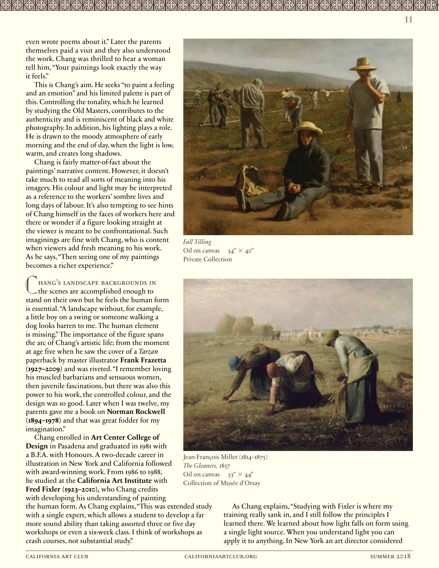even wrote poems about it." Later the parents themselves paid a visit and they also understood the work. Chang was thrilled to hear a woman tell him, "Your paintings look exactly the way it feels."

This is Chang's aim. He seeks "to paint a feeling and an emotion" and his limited palette is part of this. Controlling the tonality, which he learned by studying the Old Masters, contributes to the authenticity and is reminiscent of black and white photography. In addition, his lighting plays a role. He is drawn to the moody atmosphere of early morning and the end of day, when the light is low, warm, and creates long shadows.

Chang is fairly matter-of-fact about the paintings' narrative content. However, it doesn't take much to read all sorts of meaning into his imagery. His colour and light may be interpreted as a reference to the workers' sombre lives and long days of labour. It's also tempting to see hints of Chang himself in the faces of workers here and there or wonder if a figure looking straight at the viewer is meant to be confrontational. Such imaginings are fine with Chang, who is content when viewers add fresh meaning to his work. As he says, "Then seeing one of my paintings becomes a richer experience."

 $\mathbb{C}$ hang's landscape backgrounds in the scenes are accomplished enough to stand on their own but he feels the human form is essential. "A landscape without, for example, a little boy on a swing or someone walking a dog looks barren to me. The human element is missing." The importance of the figure spans the arc of Chang's artistic life; from the moment at age five when he saw the cover of a *Tarzan* paperback by master illustrator **Frank Frazetta (1927–2009)** and was riveted. "I remember loving his muscled barbarians and sensuous women, then juvenile fascinations, but there was also this power to his work, the controlled colour, and the design was so good. Later when I was twelve, my parents gave me a book on **Norman Rockwell (1894–1978)** and that was great fodder for my imagination."

Chang enrolled in **Art Center College of Design** in Pasadena and graduated in 1981 with a B.F.A. with Honours. A two-decade career in illustration in New York and California followed with award-winning work. From 1986 to 1988, he studied at the **California Art Institute** with **Fred Fixler (1923–2010),** who Chang credits with developing his understanding of painting

the human form. As Chang explains, "This was extended study with a single expert, which allows a student to develop a far more sound ability than taking assorted three or five day workshops or even a six-week class. I think of workshops as crash courses, not substantial study."



*Fall Tilling* Oil on canvas  $34'' \times 40''$ Private Collection



Jean-François Millet (1814–1875) *The Gleaners,* 1857 Oil on canvas  $33'' \times 44''$ Collection of Musée d'Orsay

As Chang explains, "Studying with Fixler is where my training really sank in, and I still follow the principles I learned there. We learned about how light falls on form using a single light source. When you understand light you can apply it to anything. In New York an art director considered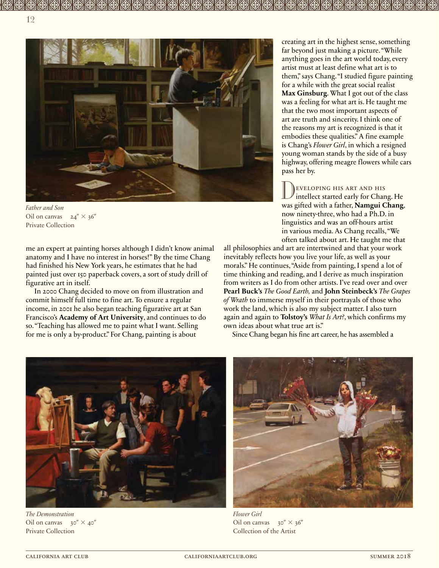



me an expert at painting horses although I didn't know animal anatomy and I have no interest in horses!" By the time Chang had finished his New York years, he estimates that he had painted just over 150 paperback covers, a sort of study drill of figurative art in itself.

In 2000 Chang decided to move on from illustration and commit himself full time to fine art. To ensure a regular income, in 2001 he also began teaching figurative art at San Francisco's **Academy of Art University**, and continues to do so. "Teaching has allowed me to paint what I want. Selling for me is only a by-product." For Chang, painting is about

creating art in the highest sense, something far beyond just making a picture. "While anything goes in the art world today, every artist must at least define what art is to them," says Chang. "I studied figure painting for a while with the great social realist **Max Ginsburg**. What I got out of the class was a feeling for what art is. He taught me that the two most important aspects of art are truth and sincerity. I think one of the reasons my art is recognized is that it embodies these qualities." A fine example is Chang's *Flower Girl*, in which a resigned young woman stands by the side of a busy highway, offering meagre flowers while cars pass her by.

 $\begin{matrix} \end{matrix}$ eveloping his art and his intellect started early for Chang. He was gifted with a father, **Namgui Chang**, now ninety-three, who had a Ph.D. in linguistics and was an off-hours artist in various media. As Chang recalls, "We often talked about art. He taught me that

all philosophies and art are intertwined and that your work inevitably reflects how you live your life, as well as your morals." He continues, "Aside from painting, I spend a lot of time thinking and reading, and I derive as much inspiration from writers as I do from other artists. I've read over and over **Pearl Buck's** *The Good Earth,* and **John Steinbeck's** *The Grapes of Wrath* to immerse myself in their portrayals of those who work the land, which is also my subject matter. I also turn again and again to **Tolstoy's** *What Is Art?*, which confirms my own ideas about what true art is."

Since Chang began his fine art career, he has assembled a



*The Demonstration* Oil on canvas  $30'' \times 40''$ Private Collection



*Flower Girl* Oil on canvas  $30'' \times 36''$ Collection of the Artist